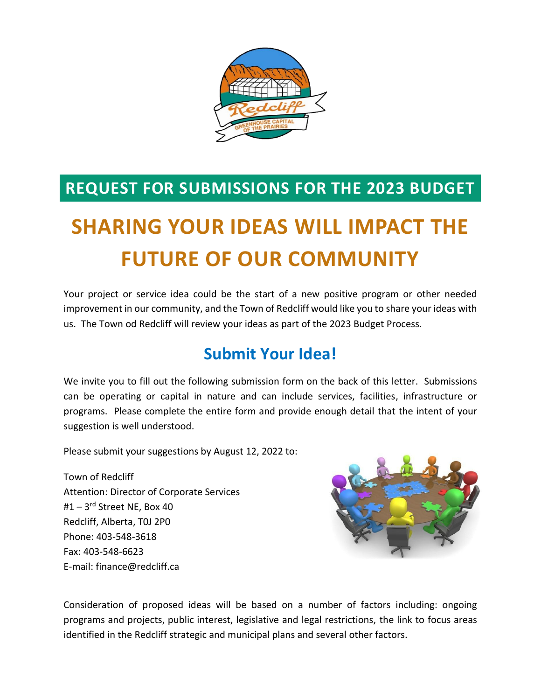

### **REQUEST FOR SUBMISSIONS FOR THE 2023 BUDGET**

# **SHARING YOUR IDEAS WILL IMPACT THE FUTURE OF OUR COMMUNITY**

Your project or service idea could be the start of a new positive program or other needed improvement in our community, and the Town of Redcliff would like you to share your ideas with us. The Town od Redcliff will review your ideas as part of the 2023 Budget Process.

### **Submit Your Idea!**

We invite you to fill out the following submission form on the back of this letter. Submissions can be operating or capital in nature and can include services, facilities, infrastructure or programs. Please complete the entire form and provide enough detail that the intent of your suggestion is well understood.

Please submit your suggestions by August 12, 2022 to:

Town of Redcliff Attention: Director of Corporate Services #1 – 3rd Street NE, Box 40 Redcliff, Alberta, T0J 2P0 Phone: 403-548-3618 Fax: 403-548-6623 E-mail: finance@redcliff.ca



Consideration of proposed ideas will be based on a number of factors including: ongoing programs and projects, public interest, legislative and legal restrictions, the link to focus areas identified in the Redcliff strategic and municipal plans and several other factors.